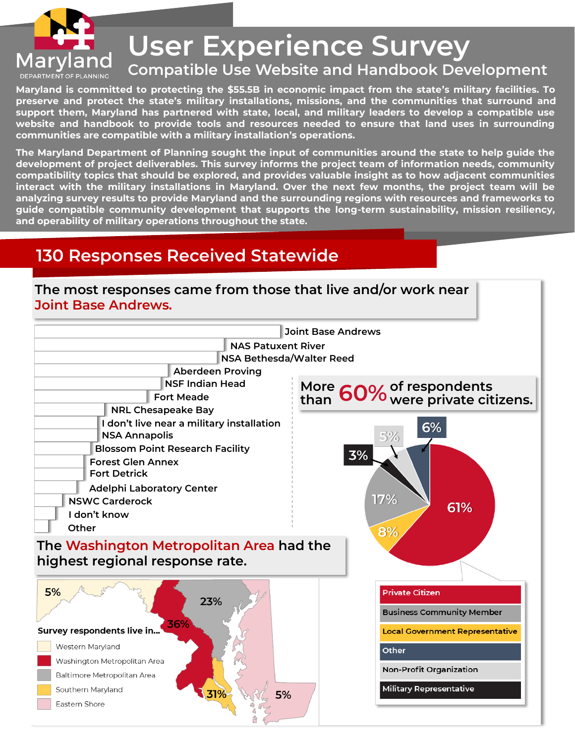

# **User Experience Survey**

#### **Compatible Use Website and Handbook Development**

**Maryland is committed to protecting the \$55.5B in economic impact from the state's military facilities. To preserve and protect the state's military installations, missions, and the communities that surround and support them, Maryland has partnered with state, local, and military leaders to develop a compatible use website and handbook to provide tools and resources needed to ensure that land uses in surrounding communities are compatible with a military installation's operations.** 

**The Maryland Department of Planning sought the input of communities around the state to help guide the development of project deliverables. This survey informs the project team of information needs, community compatibility topics that should be explored, and provides valuable insight as to how adjacent communities interact with the military installations in Maryland. Over the next few months, the project team will be analyzing survey results to provide Maryland and the surrounding regions with resources and frameworks to guide compatible community development that supports the long-term sustainability, mission resiliency, and operability of military operations throughout the state.** 

## **130 Responses Received Statewide**

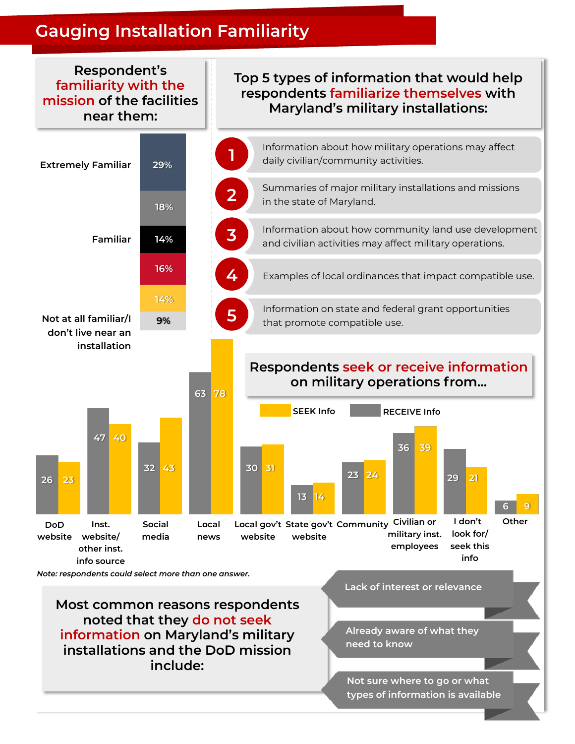## **Gauging Installation Familiarity**



**Most common reasons respondents noted that they do not seek information on Maryland's military installations and the DoD mission include:**

**Lack of interest or relevance**

**Already aware of what they need to know**

**Not sure where to go or what types of information is available**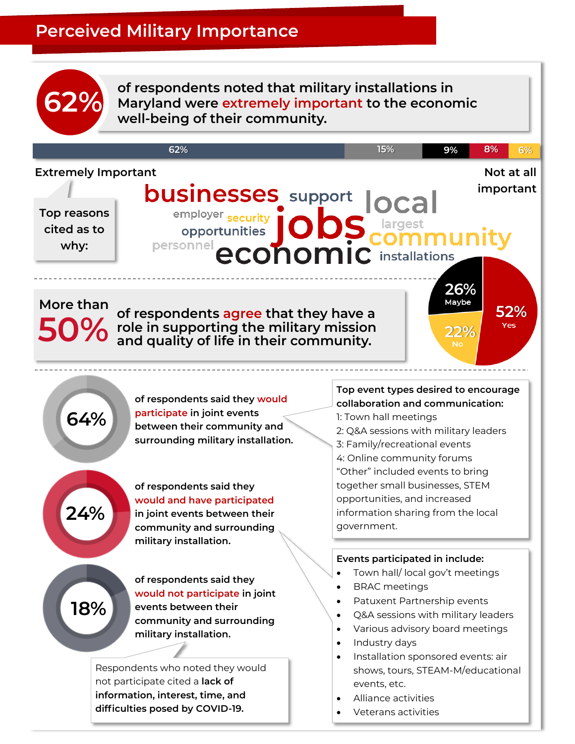## **Perceived Military Importance**



**62%** of respondents noted that military installations in<br> **62%** Maryland were extremely important to the economic **well-being of their community.**

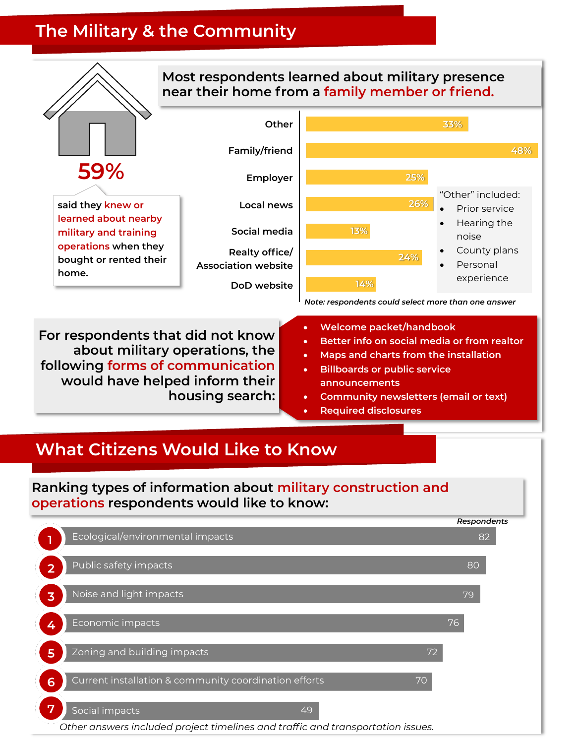## **The Military & the Community**